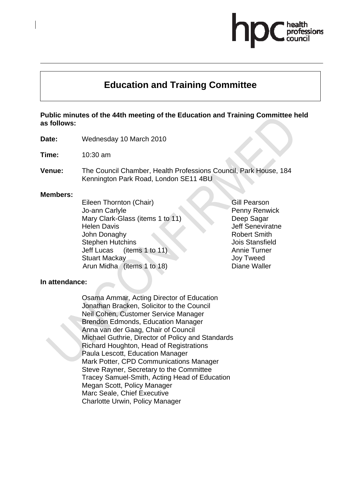# **Education and Training Committee**

#### **Public minutes of the 44th meeting of the Education and Training Committee held as follows:**

**Date:** Wednesday 10 March 2010

**Time:** 10:30 am

**Venue:** The Council Chamber, Health Professions Council, Park House, 184 Kennington Park Road, London SE11 4BU

#### **Members:**

Eileen Thornton (Chair) Jo-ann Carlyle Mary Clark-Glass (items 1 to 11) Helen Davis John Donaghy Stephen Hutchins Jeff Lucas (items 1 to 11) Stuart Mackay Arun Midha (items 1 to 18)

Gill Pearson Penny Renwick Deep Sagar Jeff Seneviratne Robert Smith Jois Stansfield Annie Turner Joy Tweed Diane Waller

#### **In attendance:**

Osama Ammar, Acting Director of Education Jonathan Bracken, Solicitor to the Council Neil Cohen, Customer Service Manager Brendon Edmonds, Education Manager Anna van der Gaag, Chair of Council Michael Guthrie, Director of Policy and Standards Richard Houghton, Head of Registrations Paula Lescott, Education Manager Mark Potter, CPD Communications Manager Steve Rayner, Secretary to the Committee Tracey Samuel-Smith, Acting Head of Education Megan Scott, Policy Manager Marc Seale, Chief Executive Charlotte Urwin, Policy Manager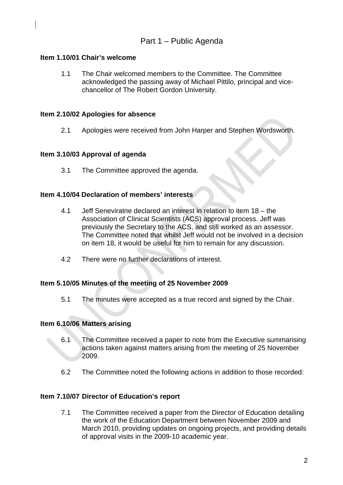# **Item 1.10/01 Chair's welcome**

1.1 The Chair welcomed members to the Committee. The Committee acknowledged the passing away of Michael Pittilo, principal and vicechancellor of The Robert Gordon University.

# **Item 2.10/02 Apologies for absence**

2.1 Apologies were received from John Harper and Stephen Wordsworth.

#### **Item 3.10/03 Approval of agenda**

3.1 The Committee approved the agenda.

#### **Item 4.10/04 Declaration of members' interests**

- 4.1 Jeff Seneviratne declared an interest in relation to item 18 the Association of Clinical Scientists (ACS) approval process. Jeff was previously the Secretary to the ACS, and still worked as an assessor. The Committee noted that whilst Jeff would not be involved in a decision on item 18, it would be useful for him to remain for any discussion.
- 4.2 There were no further declarations of interest.

#### **Item 5.10/05 Minutes of the meeting of 25 November 2009**

5.1 The minutes were accepted as a true record and signed by the Chair.

#### **Item 6.10/06 Matters arising**

- 6.1 The Committee received a paper to note from the Executive summarising actions taken against matters arising from the meeting of 25 November 2009.
- 6.2 The Committee noted the following actions in addition to those recorded:

#### **Item 7.10/07 Director of Education's report**

7.1 The Committee received a paper from the Director of Education detailing the work of the Education Department between November 2009 and March 2010, providing updates on ongoing projects, and providing details of approval visits in the 2009-10 academic year.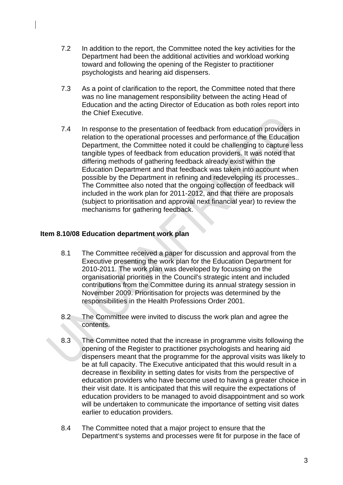- 7.2 In addition to the report, the Committee noted the key activities for the Department had been the additional activities and workload working toward and following the opening of the Register to practitioner psychologists and hearing aid dispensers.
- 7.3 As a point of clarification to the report, the Committee noted that there was no line management responsibility between the acting Head of Education and the acting Director of Education as both roles report into the Chief Executive.
- 7.4 In response to the presentation of feedback from education providers in relation to the operational processes and performance of the Education Department, the Committee noted it could be challenging to capture less tangible types of feedback from education providers. It was noted that differing methods of gathering feedback already exist within the Education Department and that feedback was taken into account when possible by the Department in refining and redeveloping its processes.. The Committee also noted that the ongoing collection of feedback will included in the work plan for 2011-2012, and that there are proposals (subject to prioritisation and approval next financial year) to review the mechanisms for gathering feedback.

# **Item 8.10/08 Education department work plan**

- 8.1 The Committee received a paper for discussion and approval from the Executive presenting the work plan for the Education Department for 2010-2011. The work plan was developed by focussing on the organisational priorities in the Council's strategic intent and included contributions from the Committee during its annual strategy session in November 2009. Prioritisation for projects was determined by the responsibilities in the Health Professions Order 2001.
- 8.2 The Committee were invited to discuss the work plan and agree the contents.
- 8.3 The Committee noted that the increase in programme visits following the opening of the Register to practitioner psychologists and hearing aid dispensers meant that the programme for the approval visits was likely to be at full capacity. The Executive anticipated that this would result in a decrease in flexibility in setting dates for visits from the perspective of education providers who have become used to having a greater choice in their visit date. It is anticipated that this will require the expectations of education providers to be managed to avoid disappointment and so work will be undertaken to communicate the importance of setting visit dates earlier to education providers.
- 8.4 The Committee noted that a major project to ensure that the Department's systems and processes were fit for purpose in the face of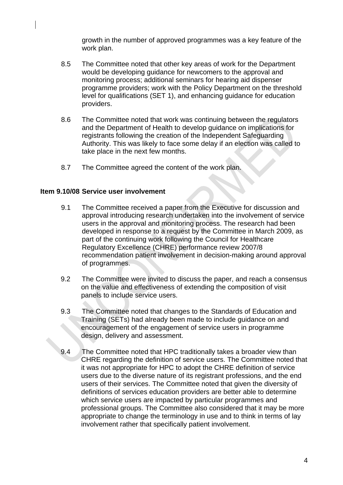growth in the number of approved programmes was a key feature of the work plan.

- 8.5 The Committee noted that other key areas of work for the Department would be developing guidance for newcomers to the approval and monitoring process; additional seminars for hearing aid dispenser programme providers; work with the Policy Department on the threshold level for qualifications (SET 1), and enhancing guidance for education providers.
- 8.6 The Committee noted that work was continuing between the regulators and the Department of Health to develop guidance on implications for registrants following the creation of the Independent Safeguarding Authority. This was likely to face some delay if an election was called to take place in the next few months.
- 8.7 The Committee agreed the content of the work plan.

#### **Item 9.10/08 Service user involvement**

- 9.1 The Committee received a paper from the Executive for discussion and approval introducing research undertaken into the involvement of service users in the approval and monitoring process. The research had been developed in response to a request by the Committee in March 2009, as part of the continuing work following the Council for Healthcare Regulatory Excellence (CHRE) performance review 2007/8 recommendation patient involvement in decision-making around approval of programmes.
- 9.2 The Committee were invited to discuss the paper, and reach a consensus on the value and effectiveness of extending the composition of visit panels to include service users.
- 9.3 The Committee noted that changes to the Standards of Education and Training (SETs) had already been made to include guidance on and encouragement of the engagement of service users in programme design, delivery and assessment.
- 9.4 The Committee noted that HPC traditionally takes a broader view than CHRE regarding the definition of service users. The Committee noted that it was not appropriate for HPC to adopt the CHRE definition of service users due to the diverse nature of its registrant professions, and the end users of their services. The Committee noted that given the diversity of definitions of services education providers are better able to determine which service users are impacted by particular programmes and professional groups. The Committee also considered that it may be more appropriate to change the terminology in use and to think in terms of lay involvement rather that specifically patient involvement.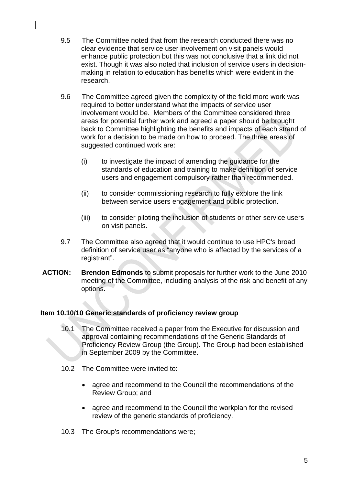- 9.5 The Committee noted that from the research conducted there was no clear evidence that service user involvement on visit panels would enhance public protection but this was not conclusive that a link did not exist. Though it was also noted that inclusion of service users in decisionmaking in relation to education has benefits which were evident in the research.
- 9.6 The Committee agreed given the complexity of the field more work was required to better understand what the impacts of service user involvement would be. Members of the Committee considered three areas for potential further work and agreed a paper should be brought back to Committee highlighting the benefits and impacts of each strand of work for a decision to be made on how to proceed. The three areas of suggested continued work are:
	- (i) to investigate the impact of amending the guidance for the standards of education and training to make definition of service users and engagement compulsory rather than recommended.
	- (ii) to consider commissioning research to fully explore the link between service users engagement and public protection.
	- (iii) to consider piloting the inclusion of students or other service users on visit panels.
- 9.7 The Committee also agreed that it would continue to use HPC's broad definition of service user as "anyone who is affected by the services of a registrant".
- **ACTION: Brendon Edmonds** to submit proposals for further work to the June 2010 meeting of the Committee, including analysis of the risk and benefit of any options.

# **Item 10.10/10 Generic standards of proficiency review group**

- 10.1 The Committee received a paper from the Executive for discussion and approval containing recommendations of the Generic Standards of Proficiency Review Group (the Group). The Group had been established in September 2009 by the Committee.
- 10.2 The Committee were invited to:
	- agree and recommend to the Council the recommendations of the Review Group; and
	- agree and recommend to the Council the workplan for the revised review of the generic standards of proficiency.
- 10.3 The Group's recommendations were;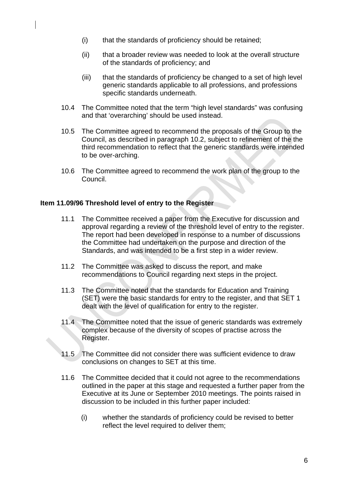- (i) that the standards of proficiency should be retained;
- (ii) that a broader review was needed to look at the overall structure of the standards of proficiency; and
- (iii) that the standards of proficiency be changed to a set of high level generic standards applicable to all professions, and professions specific standards underneath.
- 10.4 The Committee noted that the term "high level standards" was confusing and that 'overarching' should be used instead.
- 10.5 The Committee agreed to recommend the proposals of the Group to the Council, as described in paragraph 10.2, subject to refinement of the the third recommendation to reflect that the generic standards were intended to be over-arching.
- 10.6 The Committee agreed to recommend the work plan of the group to the Council.

#### **Item 11.09/96 Threshold level of entry to the Register**

- 11.1 The Committee received a paper from the Executive for discussion and approval regarding a review of the threshold level of entry to the register. The report had been developed in response to a number of discussions the Committee had undertaken on the purpose and direction of the Standards, and was intended to be a first step in a wider review.
- 11.2 The Committee was asked to discuss the report, and make recommendations to Council regarding next steps in the project.
- 11.3 The Committee noted that the standards for Education and Training (SET) were the basic standards for entry to the register, and that SET 1 dealt with the level of qualification for entry to the register.
- 11.4 The Committee noted that the issue of generic standards was extremely complex because of the diversity of scopes of practise across the Register.
- 11.5 The Committee did not consider there was sufficient evidence to draw conclusions on changes to SET at this time.
- 11.6 The Committee decided that it could not agree to the recommendations outlined in the paper at this stage and requested a further paper from the Executive at its June or September 2010 meetings. The points raised in discussion to be included in this further paper included:
	- (i) whether the standards of proficiency could be revised to better reflect the level required to deliver them;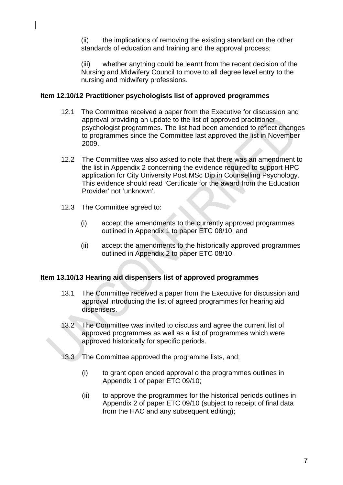(ii) the implications of removing the existing standard on the other standards of education and training and the approval process;

(iii) whether anything could be learnt from the recent decision of the Nursing and Midwifery Council to move to all degree level entry to the nursing and midwifery professions.

# **Item 12.10/12 Practitioner psychologists list of approved programmes**

- 12.1 The Committee received a paper from the Executive for discussion and approval providing an update to the list of approved practitioner psychologist programmes. The list had been amended to reflect changes to programmes since the Committee last approved the list in November 2009.
- 12.2 The Committee was also asked to note that there was an amendment to the list in Appendix 2 concerning the evidence required to support HPC application for City University Post MSc Dip in Counselling Psychology. This evidence should read 'Certificate for the award from the Education Provider' not 'unknown'.
- 12.3 The Committee agreed to:
	- (i) accept the amendments to the currently approved programmes outlined in Appendix 1 to paper ETC 08/10; and
	- (ii) accept the amendments to the historically approved programmes outlined in Appendix 2 to paper ETC 08/10.

# **Item 13.10/13 Hearing aid dispensers list of approved programmes**

- 13.1 The Committee received a paper from the Executive for discussion and approval introducing the list of agreed programmes for hearing aid dispensers.
- 13.2 The Committee was invited to discuss and agree the current list of approved programmes as well as a list of programmes which were approved historically for specific periods.
- 13.3 The Committee approved the programme lists, and;
	- (i) to grant open ended approval o the programmes outlines in Appendix 1 of paper ETC 09/10;
	- (ii) to approve the programmes for the historical periods outlines in Appendix 2 of paper ETC 09/10 (subject to receipt of final data from the HAC and any subsequent editing);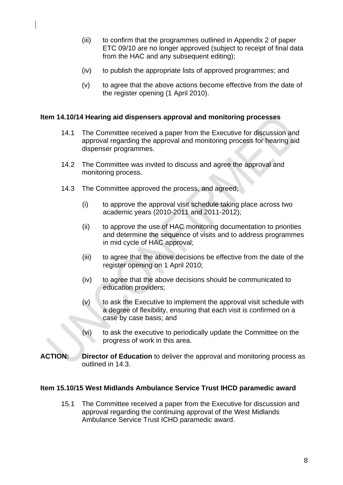- (iii) to confirm that the programmes outlined in Appendix 2 of paper ETC 09/10 are no longer approved (subject to receipt of final data from the HAC and any subsequent editing);
- (iv) to publish the appropriate lists of approved programmes; and
- (v) to agree that the above actions become effective from the date of the register opening (1 April 2010).

#### **Item 14.10/14 Hearing aid dispensers approval and monitoring processes**

- 14.1 The Committee received a paper from the Executive for discussion and approval regarding the approval and monitoring process for hearing aid dispenser programmes.
- 14.2 The Committee was invited to discuss and agree the approval and monitoring process.
- 14.3 The Committee approved the process, and agreed;
	- (i) to approve the approval visit schedule taking place across two academic years (2010-2011 and 2011-2012);
	- (ii) to approve the use of HAC monitoring documentation to priorities and determine the sequence of visits and to address programmes in mid cycle of HAC approval;
	- (iii) to agree that the above decisions be effective from the date of the register opening on 1 April 2010;
	- (iv) to agree that the above decisions should be communicated to education providers;
	- $(v)$  to ask the Executive to implement the approval visit schedule with a degree of flexibility, ensuring that each visit is confirmed on a case by case basis; and
	- (vi) to ask the executive to periodically update the Committee on the progress of work in this area.
- **ACTION: Director of Education** to deliver the approval and monitoring process as outlined in 14.3.

#### **Item 15.10/15 West Midlands Ambulance Service Trust IHCD paramedic award**

15.1 The Committee received a paper from the Executive for discussion and approval regarding the continuing approval of the West Midlands Ambulance Service Trust ICHD paramedic award.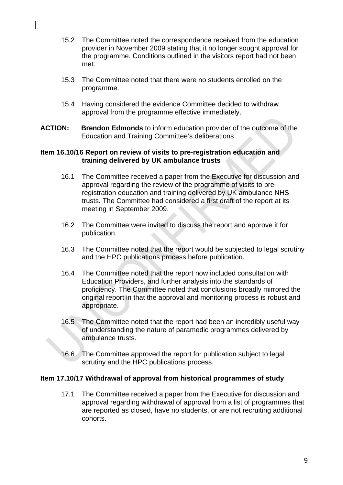- 15.2 The Committee noted the correspondence received from the education provider in November 2009 stating that it no longer sought approval for the programme. Conditions outlined in the visitors report had not been met.
- 15.3 The Committee noted that there were no students enrolled on the programme.
- 15.4 Having considered the evidence Committee decided to withdraw approval from the programme effective immediately.
- **ACTION: Brendon Edmonds** to inform education provider of the outcome of the Education and Training Committee's deliberations

### **Item 16.10/16 Report on review of visits to pre-registration education and training delivered by UK ambulance trusts**

- 16.1 The Committee received a paper from the Executive for discussion and approval regarding the review of the programme of visits to preregistration education and training delivered by UK ambulance NHS trusts. The Committee had considered a first draft of the report at its meeting in September 2009.
- 16.2 The Committee were invited to discuss the report and approve it for publication.
- 16.3 The Committee noted that the report would be subjected to legal scrutiny and the HPC publications process before publication.
- 16.4 The Committee noted that the report now included consultation with Education Providers, and further analysis into the standards of proficiency. The Committee noted that conclusions broadly mirrored the original report in that the approval and monitoring process is robust and appropriate.
- 16.5 The Committee noted that the report had been an incredibly useful way of understanding the nature of paramedic programmes delivered by ambulance trusts.
- 16.6 The Committee approved the report for publication subject to legal scrutiny and the HPC publications process.

#### **Item 17.10/17 Withdrawal of approval from historical programmes of study**

17.1 The Committee received a paper from the Executive for discussion and approval regarding withdrawal of approval from a list of programmes that are reported as closed, have no students, or are not recruiting additional cohorts.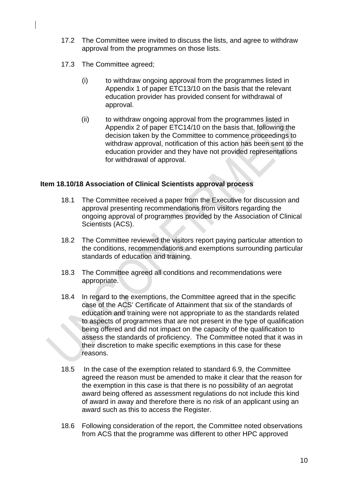- 17.2 The Committee were invited to discuss the lists, and agree to withdraw approval from the programmes on those lists.
- 17.3 The Committee agreed;
	- (i) to withdraw ongoing approval from the programmes listed in Appendix 1 of paper ETC13/10 on the basis that the relevant education provider has provided consent for withdrawal of approval.
	- (ii) to withdraw ongoing approval from the programmes listed in Appendix 2 of paper ETC14/10 on the basis that, following the decision taken by the Committee to commence proceedings to withdraw approval, notification of this action has been sent to the education provider and they have not provided representations for withdrawal of approval.

# **Item 18.10/18 Association of Clinical Scientists approval process**

- 18.1 The Committee received a paper from the Executive for discussion and approval presenting recommendations from visitors regarding the ongoing approval of programmes provided by the Association of Clinical Scientists (ACS).
- 18.2 The Committee reviewed the visitors report paying particular attention to the conditions, recommendations and exemptions surrounding particular standards of education and training.
- 18.3 The Committee agreed all conditions and recommendations were appropriate.
- 18.4 In regard to the exemptions, the Committee agreed that in the specific case of the ACS' Certificate of Attainment that six of the standards of education and training were not appropriate to as the standards related to aspects of programmes that are not present in the type of qualification being offered and did not impact on the capacity of the qualification to assess the standards of proficiency. The Committee noted that it was in their discretion to make specific exemptions in this case for these reasons.
- 18.5 In the case of the exemption related to standard 6.9, the Committee agreed the reason must be amended to make it clear that the reason for the exemption in this case is that there is no possibility of an aegrotat award being offered as assessment regulations do not include this kind of award in away and therefore there is no risk of an applicant using an award such as this to access the Register.
- 18.6 Following consideration of the report, the Committee noted observations from ACS that the programme was different to other HPC approved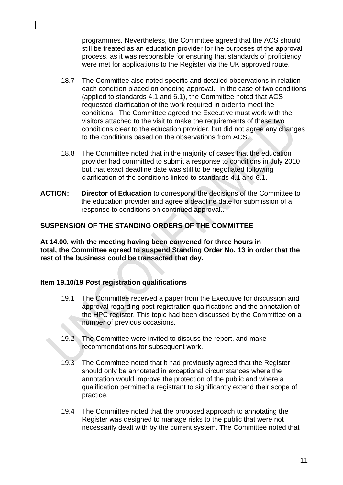programmes. Nevertheless, the Committee agreed that the ACS should still be treated as an education provider for the purposes of the approval process, as it was responsible for ensuring that standards of proficiency were met for applications to the Register via the UK approved route.

- 18.7 The Committee also noted specific and detailed observations in relation each condition placed on ongoing approval. In the case of two conditions (applied to standards 4.1 and 6.1), the Committee noted that ACS requested clarification of the work required in order to meet the conditions. The Committee agreed the Executive must work with the visitors attached to the visit to make the requirements of these two conditions clear to the education provider, but did not agree any changes to the conditions based on the observations from ACS.
- 18.8 The Committee noted that in the majority of cases that the education provider had committed to submit a response to conditions in July 2010 but that exact deadline date was still to be negotiated following clarification of the conditions linked to standards 4.1 and 6.1.
- **ACTION: Director of Education** to correspond the decisions of the Committee to the education provider and agree a deadline date for submission of a response to conditions on continued approval..

# **SUSPENSION OF THE STANDING ORDERS OF THE COMMITTEE**

**At 14.00, with the meeting having been convened for three hours in total, the Committee agreed to suspend Standing Order No. 13 in order that the rest of the business could be transacted that day.** 

# **Item 19.10/19 Post registration qualifications**

- 19.1 The Committee received a paper from the Executive for discussion and approval regarding post registration qualifications and the annotation of the HPC register. This topic had been discussed by the Committee on a number of previous occasions.
- 19.2 The Committee were invited to discuss the report, and make recommendations for subsequent work.
- 19.3 The Committee noted that it had previously agreed that the Register should only be annotated in exceptional circumstances where the annotation would improve the protection of the public and where a qualification permitted a registrant to significantly extend their scope of practice.
- 19.4 The Committee noted that the proposed approach to annotating the Register was designed to manage risks to the public that were not necessarily dealt with by the current system. The Committee noted that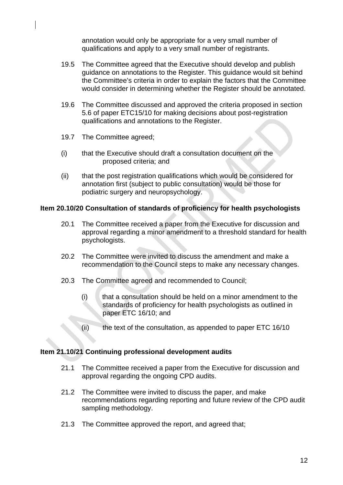annotation would only be appropriate for a very small number of qualifications and apply to a very small number of registrants.

- 19.5 The Committee agreed that the Executive should develop and publish guidance on annotations to the Register. This guidance would sit behind the Committee's criteria in order to explain the factors that the Committee would consider in determining whether the Register should be annotated.
- 19.6 The Committee discussed and approved the criteria proposed in section 5.6 of paper ETC15/10 for making decisions about post-registration qualifications and annotations to the Register.
- 19.7 The Committee agreed;
- (i) that the Executive should draft a consultation document on the proposed criteria; and
- (ii) that the post registration qualifications which would be considered for annotation first (subject to public consultation) would be those for podiatric surgery and neuropsychology.

# **Item 20.10/20 Consultation of standards of proficiency for health psychologists**

- 20.1 The Committee received a paper from the Executive for discussion and approval regarding a minor amendment to a threshold standard for health psychologists.
- 20.2 The Committee were invited to discuss the amendment and make a recommendation to the Council steps to make any necessary changes.
- 20.3 The Committee agreed and recommended to Council;
	- (i) that a consultation should be held on a minor amendment to the standards of proficiency for health psychologists as outlined in paper ETC 16/10; and
	- $(iii)$  the text of the consultation, as appended to paper ETC 16/10

#### **Item 21.10/21 Continuing professional development audits**

- 21.1 The Committee received a paper from the Executive for discussion and approval regarding the ongoing CPD audits.
- 21.2 The Committee were invited to discuss the paper, and make recommendations regarding reporting and future review of the CPD audit sampling methodology.
- 21.3 The Committee approved the report, and agreed that;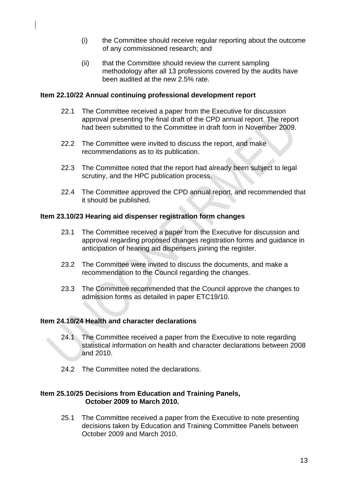- (i) the Committee should receive regular reporting about the outcome of any commissioned research; and
- (ii) that the Committee should review the current sampling methodology after all 13 professions covered by the audits have been audited at the new 2.5% rate.

### **Item 22.10/22 Annual continuing professional development report**

- 22.1 The Committee received a paper from the Executive for discussion approval presenting the final draft of the CPD annual report. The report had been submitted to the Committee in draft form in November 2009.
- 22.2 The Committee were invited to discuss the report, and make recommendations as to its publication.
- 22.3 The Committee noted that the report had already been subject to legal scrutiny, and the HPC publication process.
- 22.4 The Committee approved the CPD annual report, and recommended that it should be published.

# **Item 23.10/23 Hearing aid dispenser registration form changes**

- 23.1 The Committee received a paper from the Executive for discussion and approval regarding proposed changes registration forms and guidance in anticipation of hearing aid dispensers joining the register.
- 23.2 The Committee were invited to discuss the documents, and make a recommendation to the Council regarding the changes.
- 23.3 The Committee recommended that the Council approve the changes to admission forms as detailed in paper ETC19/10.

#### **Item 24.10/24 Health and character declarations**

- 24.1 The Committee received a paper from the Executive to note regarding statistical information on health and character declarations between 2008 and 2010.
- 24.2 The Committee noted the declarations.

#### **Item 25.10/25 Decisions from Education and Training Panels, October 2009 to March 2010.**

25.1 The Committee received a paper from the Executive to note presenting decisions taken by Education and Training Committee Panels between October 2009 and March 2010.